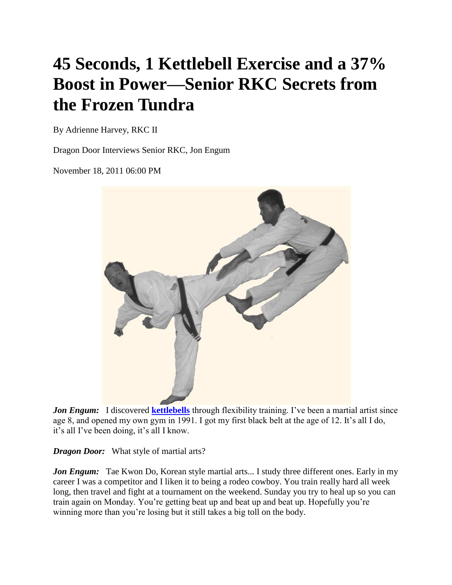## **45 Seconds, 1 Kettlebell Exercise and a 37% Boost in Power—Senior RKC Secrets from the Frozen Tundra**

By Adrienne Harvey, RKC II

Dragon Door Interviews Senior RKC, Jon Engum

November 18, 2011 06:00 PM



*Jon Engum:* I discovered **[kettlebells](http://www.dragondoor.com/shop-by-department/kettlebells/)** through flexibility training. I've been a martial artist since age 8, and opened my own gym in 1991. I got my first black belt at the age of 12. It's all I do, it's all I've been doing, it's all I know.

*Dragon Door:* What style of martial arts?

*Jon Engum:* Tae Kwon Do, Korean style martial arts... I study three different ones. Early in my career I was a competitor and I liken it to being a rodeo cowboy. You train really hard all week long, then travel and fight at a tournament on the weekend. Sunday you try to heal up so you can train again on Monday. You're getting beat up and beat up and beat up. Hopefully you're winning more than you're losing but it still takes a big toll on the body.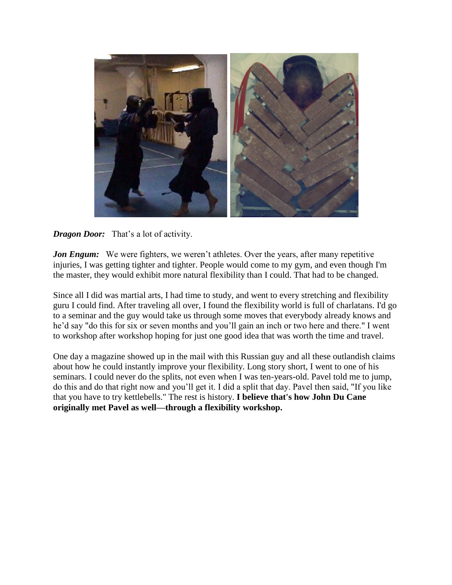

## *Dragon Door:* That's a lot of activity.

*Jon Engum:* We were fighters, we weren't athletes. Over the years, after many repetitive injuries, I was getting tighter and tighter. People would come to my gym, and even though I'm the master, they would exhibit more natural flexibility than I could. That had to be changed.

Since all I did was martial arts, I had time to study, and went to every stretching and flexibility guru I could find. After traveling all over, I found the flexibility world is full of charlatans. I'd go to a seminar and the guy would take us through some moves that everybody already knows and he'd say "do this for six or seven months and you'll gain an inch or two here and there." I went to workshop after workshop hoping for just one good idea that was worth the time and travel.

One day a magazine showed up in the mail with this Russian guy and all these outlandish claims about how he could instantly improve your flexibility. Long story short, I went to one of his seminars. I could never do the splits, not even when I was ten-years-old. Pavel told me to jump, do this and do that right now and you'll get it. I did a split that day. Pavel then said, "If you like that you have to try kettlebells." The rest is history. **I believe that's how John Du Cane originally met Pavel as well—through a flexibility workshop.**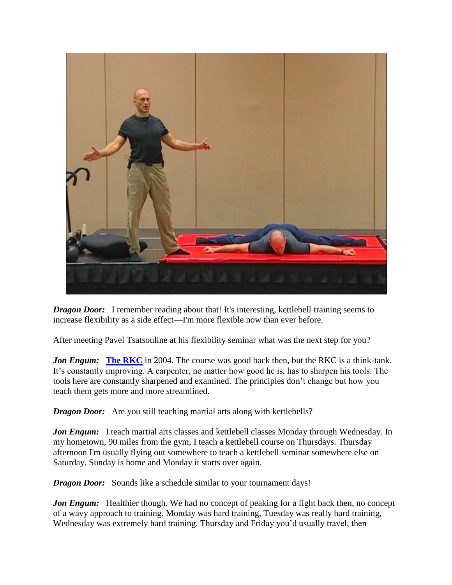

*Dragon Door:* I remember reading about that! It's interesting, kettlebell training seems to increase flexibility as a side effect—I'm more flexible now than ever before.

After meeting Pavel Tsatsouline at his flexibility seminar what was the next step for you?

*Jon Engum:* [The RKC](http://www.dragondoor.com/workshops/?F_c=1&F_Page=-1) in 2004. The course was good back then, but the RKC is a think-tank. It's constantly improving. A carpenter, no matter how good he is, has to sharpen his tools. The tools here are constantly sharpened and examined. The principles don't change but how you teach them gets more and more streamlined.

*Dragon Door:* Are you still teaching martial arts along with kettlebells?

*Jon Engum:* I teach martial arts classes and kettlebell classes Monday through Wednesday. In my hometown, 90 miles from the gym, I teach a kettlebell course on Thursdays. Thursday afternoon I'm usually flying out somewhere to teach a kettlebell seminar somewhere else on Saturday. Sunday is home and Monday it starts over again.

*Dragon Door:* Sounds like a schedule similar to your tournament days!

*Jon Engum:* Healthier though. We had no concept of peaking for a fight back then, no concept of a wavy approach to training. Monday was hard training, Tuesday was really hard training, Wednesday was extremely hard training. Thursday and Friday you'd usually travel, then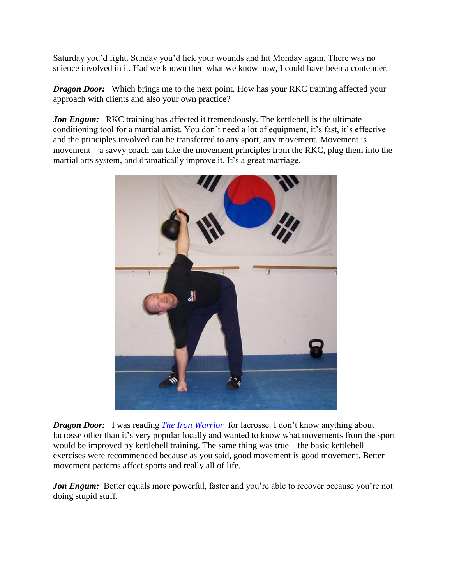Saturday you'd fight. Sunday you'd lick your wounds and hit Monday again. There was no science involved in it. Had we known then what we know now, I could have been a contender.

*Dragon Door:* Which brings me to the next point. How has your RKC training affected your approach with clients and also your own practice?

*Jon Engum:* RKC training has affected it tremendously. The kettlebell is the ultimate conditioning tool for a martial artist. You don't need a lot of equipment, it's fast, it's effective and the principles involved can be transferred to any sport, any movement. Movement is movement—a savvy coach can take the movement principles from the RKC, plug them into the martial arts system, and dramatically improve it. It's a great marriage.



*Dragon Door:* I was reading *[The Iron Warrior](http://www.dragondoor.com/shop-by-department/books/products/the-iron-warrior-b52/)* for lacrosse. I don't know anything about lacrosse other than it's very popular locally and wanted to know what movements from the sport would be improved by kettlebell training. The same thing was true—the basic kettlebell exercises were recommended because as you said, good movement is good movement. Better movement patterns affect sports and really all of life.

*Jon Engum:* Better equals more powerful, faster and you're able to recover because you're not doing stupid stuff.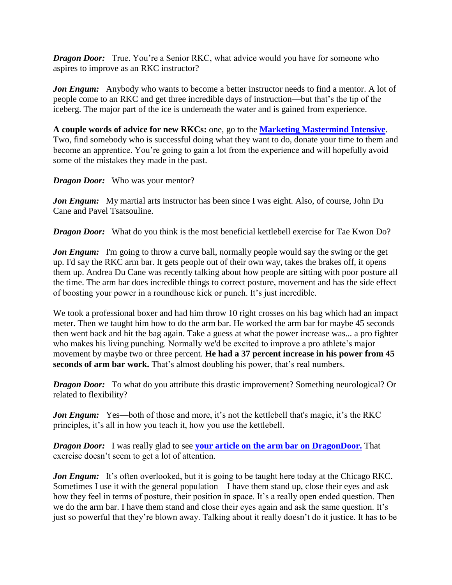*Dragon Door:* True. You're a Senior RKC, what advice would you have for someone who aspires to improve as an RKC instructor?

*Jon Engum:* Anybody who wants to become a better instructor needs to find a mentor. A lot of people come to an RKC and get three incredible days of instruction—but that's the tip of the iceberg. The major part of the ice is underneath the water and is gained from experience.

**A couple words of advice for new RKCs:** one, go to the **[Marketing Mastermind Intensive](http://www.dragondoor.com/workshops/details/wm010/)**. Two, find somebody who is successful doing what they want to do, donate your time to them and become an apprentice. You're going to gain a lot from the experience and will hopefully avoid some of the mistakes they made in the past.

*Dragon Door:* Who was your mentor?

*Jon Engum:* My martial arts instructor has been since I was eight. Also, of course, John Du Cane and Pavel Tsatsouline.

*Dragon Door:* What do you think is the most beneficial kettlebell exercise for Tae Kwon Do?

*Jon Engum:* I'm going to throw a curve ball, normally people would say the swing or the get up. I'd say the RKC arm bar. It gets people out of their own way, takes the brakes off, it opens them up. Andrea Du Cane was recently talking about how people are sitting with poor posture all the time. The arm bar does incredible things to correct posture, movement and has the side effect of boosting your power in a roundhouse kick or punch. It's just incredible.

We took a professional boxer and had him throw 10 right crosses on his bag which had an impact meter. Then we taught him how to do the arm bar. He worked the arm bar for maybe 45 seconds then went back and hit the bag again. Take a guess at what the power increase was... a pro fighter who makes his living punching. Normally we'd be excited to improve a pro athlete's major movement by maybe two or three percent. **He had a 37 percent increase in his power from 45 seconds of arm bar work.** That's almost doubling his power, that's real numbers.

*Dragon Door:* To what do you attribute this drastic improvement? Something neurological? Or related to flexibility?

*Jon Engum:* Yes—both of those and more, it's not the kettlebell that's magic, it's the RKC principles, it's all in how you teach it, how you use the kettlebell.

*Dragon Door:* I was really glad to see **[your article on the arm bar on DragonDoor.](http://www.dragondoor.com/armbar_secrets_unclassified_supercharged_roundhouse_/)** That exercise doesn't seem to get a lot of attention.

*Jon Engum:* It's often overlooked, but it is going to be taught here today at the Chicago RKC. Sometimes I use it with the general population—I have them stand up, close their eyes and ask how they feel in terms of posture, their position in space. It's a really open ended question. Then we do the arm bar. I have them stand and close their eyes again and ask the same question. It's just so powerful that they're blown away. Talking about it really doesn't do it justice. It has to be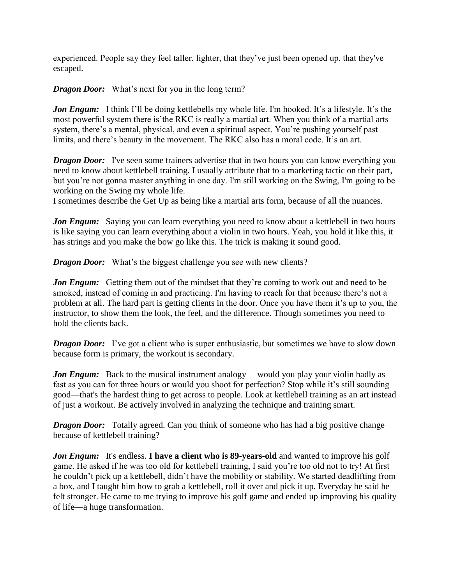experienced. People say they feel taller, lighter, that they've just been opened up, that they've escaped.

*Dragon Door:* What's next for you in the long term?

Jon Engum: I think I'll be doing kettlebells my whole life. I'm hooked. It's a lifestyle. It's the most powerful system there is'the RKC is really a martial art. When you think of a martial arts system, there's a mental, physical, and even a spiritual aspect. You're pushing yourself past limits, and there's beauty in the movement. The RKC also has a moral code. It's an art.

*Dragon Door:* I've seen some trainers advertise that in two hours you can know everything you need to know about kettlebell training. I usually attribute that to a marketing tactic on their part, but you're not gonna master anything in one day. I'm still working on the Swing, I'm going to be working on the Swing my whole life.

I sometimes describe the Get Up as being like a martial arts form, because of all the nuances.

*Jon Engum:* Saying you can learn everything you need to know about a kettlebell in two hours is like saying you can learn everything about a violin in two hours. Yeah, you hold it like this, it has strings and you make the bow go like this. The trick is making it sound good.

*Dragon Door:* What's the biggest challenge you see with new clients?

*Jon Engum:* Getting them out of the mindset that they're coming to work out and need to be smoked, instead of coming in and practicing. I'm having to reach for that because there's not a problem at all. The hard part is getting clients in the door. Once you have them it's up to you, the instructor, to show them the look, the feel, and the difference. Though sometimes you need to hold the clients back.

*Dragon Door:* I've got a client who is super enthusiastic, but sometimes we have to slow down because form is primary, the workout is secondary.

*Jon Engum:* Back to the musical instrument analogy— would you play your violin badly as fast as you can for three hours or would you shoot for perfection? Stop while it's still sounding good—that's the hardest thing to get across to people. Look at kettlebell training as an art instead of just a workout. Be actively involved in analyzing the technique and training smart.

*Dragon Door:* Totally agreed. Can you think of someone who has had a big positive change because of kettlebell training?

*Jon Engum:* It's endless. **I have a client who is 89-years-old** and wanted to improve his golf game. He asked if he was too old for kettlebell training, I said you're too old not to try! At first he couldn't pick up a kettlebell, didn't have the mobility or stability. We started deadlifting from a box, and I taught him how to grab a kettlebell, roll it over and pick it up. Everyday he said he felt stronger. He came to me trying to improve his golf game and ended up improving his quality of life—a huge transformation.